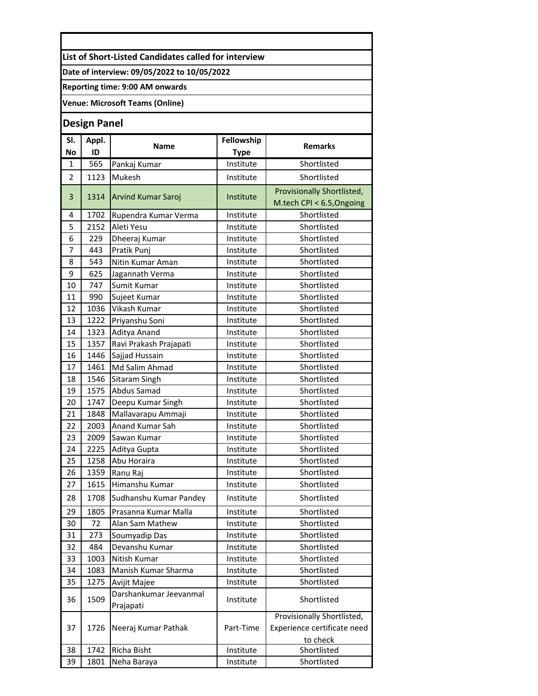**List of Short-Listed Candidates called for interview** 

**Date of interview: 09/05/2022 to 10/05/2022**

**Reporting time: 9:00 AM onwards** 

**Venue: Microsoft Teams (Online)**

## **Design Panel**

| SI.            | Appl. | <b>Name</b>                         | Fellowship  | <b>Remarks</b>                          |
|----------------|-------|-------------------------------------|-------------|-----------------------------------------|
| <b>No</b>      | ID    |                                     | <b>Type</b> |                                         |
| 1              | 565   | Pankaj Kumar                        | Institute   | Shortlisted                             |
| $\overline{2}$ | 1123  | Mukesh                              | Institute   | Shortlisted                             |
| 3              | 1314  | <b>Arvind Kumar Saroj</b>           | Institute   | Provisionally Shortlisted,              |
|                |       |                                     |             | M.tech CPI < 6.5, Ongoing               |
| 4              | 1702  | Rupendra Kumar Verma                | Institute   | Shortlisted                             |
| 5              | 2152  | Aleti Yesu                          | Institute   | Shortlisted                             |
| 6              | 229   | Dheeraj Kumar                       | Institute   | Shortlisted                             |
| 7              | 443   | Pratik Punj                         | Institute   | Shortlisted                             |
| 8              | 543   | Nitin Kumar Aman                    | Institute   | Shortlisted                             |
| 9              | 625   | Jagannath Verma                     | Institute   | Shortlisted                             |
| 10             | 747   | Sumit Kumar                         | Institute   | Shortlisted                             |
| 11             | 990   | Sujeet Kumar                        | Institute   | Shortlisted                             |
| 12             | 1036  | Vikash Kumar                        | Institute   | Shortlisted                             |
| 13             | 1222  | Priyanshu Soni                      | Institute   | Shortlisted                             |
| 14             | 1323  | Aditya Anand                        | Institute   | Shortlisted                             |
| 15             | 1357  | Ravi Prakash Prajapati              | Institute   | Shortlisted                             |
| 16             | 1446  | Sajjad Hussain                      | Institute   | Shortlisted                             |
| 17             | 1461  | Md Salim Ahmad                      | Institute   | Shortlisted                             |
| 18             | 1546  | Sitaram Singh                       | Institute   | Shortlisted                             |
| 19             | 1575  | Abdus Samad                         | Institute   | Shortlisted                             |
| 20             | 1747  | Deepu Kumar Singh                   | Institute   | Shortlisted                             |
| 21             | 1848  | Mallavarapu Ammaji                  | Institute   | Shortlisted                             |
| 22             | 2003  | Anand Kumar Sah                     | Institute   | Shortlisted                             |
| 23             | 2009  | Sawan Kumar                         | Institute   | Shortlisted                             |
| 24             | 2225  | Aditya Gupta                        | Institute   | Shortlisted                             |
| 25             | 1258  | Abu Horaira                         | Institute   | Shortlisted                             |
| 26             | 1359  | Ranu Raj                            | Institute   | Shortlisted                             |
| 27             | 1615  | Himanshu Kumar                      | Institute   | Shortlisted                             |
| 28             | 1708  | Sudhanshu Kumar Pandey              | Institute   | Shortlisted                             |
| 29             | 1805  | Prasanna Kumar Malla                | Institute   | Shortlisted                             |
| 30             | 72    | Alan Sam Mathew                     | Institute   | Shortlisted                             |
| 31             | 273   | Soumyadip Das                       | Institute   | Shortlisted                             |
| 32             | 484   | Devanshu Kumar                      | Institute   | Shortlisted                             |
| 33             | 1003  | Nitish Kumar                        | Institute   | Shortlisted                             |
| 34             | 1083  | Manish Kumar Sharma                 | Institute   | Shortlisted                             |
| 35             | 1275  | Avijit Majee                        | Institute   | Shortlisted                             |
| 36             | 1509  | Darshankumar Jeevanmal<br>Prajapati | Institute   | Shortlisted                             |
|                |       |                                     |             | Provisionally Shortlisted,              |
| 37             | 1726  | Neeraj Kumar Pathak                 | Part-Time   | Experience certificate need<br>to check |
| 38             | 1742  | Richa Bisht                         | Institute   | Shortlisted                             |
| 39             | 1801  | Neha Baraya                         | Institute   | Shortlisted                             |
|                |       |                                     |             |                                         |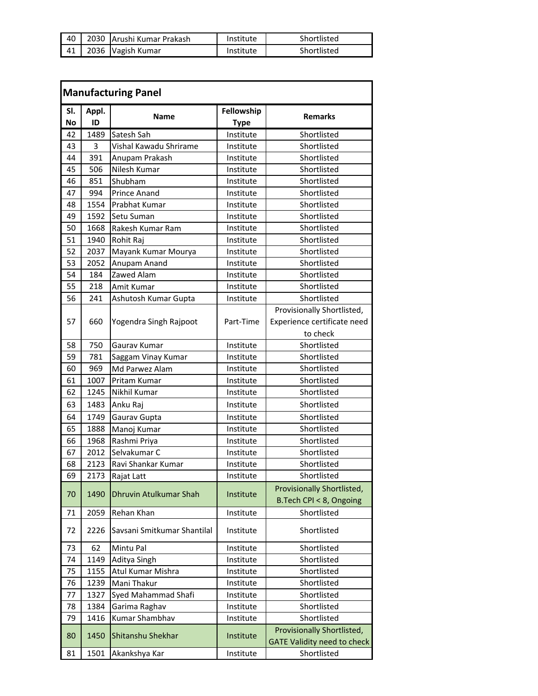|  | 40   2030   Arushi Kumar Prakash | Institute | Shortlisted |
|--|----------------------------------|-----------|-------------|
|  | 41   2036   Vagish Kumar         | Institute | Shortlisted |

| <b>Manufacturing Panel</b> |             |                             |                           |                                                                  |
|----------------------------|-------------|-----------------------------|---------------------------|------------------------------------------------------------------|
| SI.<br>No                  | Appl.<br>ID | Name                        | Fellowship<br><b>Type</b> | <b>Remarks</b>                                                   |
| 42                         | 1489        | Satesh Sah                  | Institute                 | Shortlisted                                                      |
| 43                         | 3           | Vishal Kawadu Shrirame      | Institute                 | Shortlisted                                                      |
| 44                         | 391         | Anupam Prakash              | Institute                 | Shortlisted                                                      |
| 45                         | 506         | Nilesh Kumar                | Institute                 | Shortlisted                                                      |
| 46                         | 851         | Shubham                     | Institute                 | Shortlisted                                                      |
| 47                         | 994         | Prince Anand                | Institute                 | Shortlisted                                                      |
| 48                         | 1554        | Prabhat Kumar               | Institute                 | Shortlisted                                                      |
| 49                         | 1592        | Setu Suman                  | Institute                 | Shortlisted                                                      |
| 50                         | 1668        | Rakesh Kumar Ram            | Institute                 | Shortlisted                                                      |
| 51                         | 1940        | Rohit Raj                   | Institute                 | Shortlisted                                                      |
| 52                         | 2037        | Mayank Kumar Mourya         | Institute                 | Shortlisted                                                      |
| 53                         | 2052        | Anupam Anand                | Institute                 | Shortlisted                                                      |
| 54                         | 184         | Zawed Alam                  | Institute                 | Shortlisted                                                      |
| 55                         | 218         | Amit Kumar                  | Institute                 | Shortlisted                                                      |
| 56                         | 241         | Ashutosh Kumar Gupta        | Institute                 | Shortlisted                                                      |
|                            |             |                             |                           | Provisionally Shortlisted,                                       |
| 57                         | 660         | Yogendra Singh Rajpoot      | Part-Time                 | Experience certificate need                                      |
|                            |             |                             |                           | to check                                                         |
| 58                         | 750         | Gaurav Kumar                | Institute                 | Shortlisted                                                      |
| 59                         | 781         | Saggam Vinay Kumar          | Institute                 | Shortlisted                                                      |
| 60                         | 969         | Md Parwez Alam              | Institute                 | Shortlisted                                                      |
| 61                         | 1007        | Pritam Kumar                | Institute                 | Shortlisted                                                      |
| 62                         | 1245        | Nikhil Kumar                | Institute                 | Shortlisted                                                      |
| 63                         | 1483        | Anku Raj                    | Institute                 | Shortlisted                                                      |
| 64                         | 1749        | Gaurav Gupta                | Institute                 | Shortlisted                                                      |
| 65                         | 1888        | Manoj Kumar                 | Institute                 | Shortlisted                                                      |
| 66                         | 1968        | Rashmi Priya                | Institute                 | Shortlisted                                                      |
| 67                         | 2012        | Selvakumar C                | Institute                 | Shortlisted                                                      |
| 68                         | 2123        | Ravi Shankar Kumar          | Institute                 | Shortlisted                                                      |
| 69                         | 2173        | Rajat Latt                  | Institute                 | Shortlisted                                                      |
| 70                         | 1490        | Dhruvin Atulkumar Shah      | Institute                 | Provisionally Shortlisted,<br>B.Tech CPI < 8, Ongoing            |
| 71                         | 2059        | Rehan Khan                  | Institute                 | Shortlisted                                                      |
| 72                         | 2226        | Savsani Smitkumar Shantilal | Institute                 | Shortlisted                                                      |
| 73                         | 62          | Mintu Pal                   | Institute                 | Shortlisted                                                      |
| 74                         | 1149        | Aditya Singh                | Institute                 | Shortlisted                                                      |
| 75                         | 1155        | Atul Kumar Mishra           | Institute                 | Shortlisted                                                      |
| 76                         | 1239        | Mani Thakur                 | Institute                 | Shortlisted                                                      |
| 77                         | 1327        | Syed Mahammad Shafi         | Institute                 | Shortlisted                                                      |
| 78                         | 1384        | Garima Raghav               | Institute                 | Shortlisted                                                      |
| 79                         | 1416        | Kumar Shambhav              | Institute                 | Shortlisted                                                      |
| 80                         | 1450        | Shitanshu Shekhar           | Institute                 | Provisionally Shortlisted,<br><b>GATE Validity need to check</b> |
| 81                         | 1501        | Akankshya Kar               | Institute                 | Shortlisted                                                      |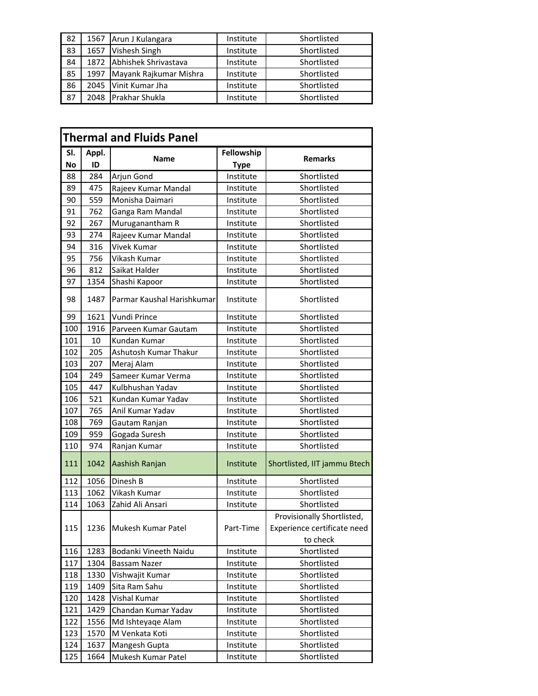| -82  | 1567 | Arun J Kulangara       | Institute | Shortlisted |
|------|------|------------------------|-----------|-------------|
| 83   | 1657 | Vishesh Singh          | Institute | Shortlisted |
| 84   | 1872 | Abhishek Shrivastava   | Institute | Shortlisted |
| 85   | 1997 | Mayank Rajkumar Mishra | Institute | Shortlisted |
| 86   | 2045 | Vinit Kumar Jha        | Institute | Shortlisted |
| - 87 | 2048 | <b>Prakhar Shukla</b>  | Institute | Shortlisted |

| <b>Thermal and Fluids Panel</b> |             |                            |                           |                              |
|---------------------------------|-------------|----------------------------|---------------------------|------------------------------|
| SI.<br>No                       | Appl.<br>ID | Name                       | Fellowship<br><b>Type</b> | <b>Remarks</b>               |
| 88                              | 284         | Arjun Gond                 | Institute                 | Shortlisted                  |
| 89                              | 475         | Rajeev Kumar Mandal        | Institute                 | Shortlisted                  |
| 90                              | 559         | Monisha Daimari            | Institute                 | Shortlisted                  |
| 91                              | 762         | Ganga Ram Mandal           | Institute                 | Shortlisted                  |
| 92                              | 267         | Muruganantham R            | Institute                 | Shortlisted                  |
| 93                              | 274         | Rajeev Kumar Mandal        | Institute                 | Shortlisted                  |
| 94                              | 316         | Vivek Kumar                | Institute                 | Shortlisted                  |
| 95                              | 756         | Vikash Kumar               | Institute                 | Shortlisted                  |
| 96                              | 812         | Saikat Halder              | Institute                 | Shortlisted                  |
| 97                              | 1354        | Shashi Kapoor              | Institute                 | Shortlisted                  |
| 98                              | 1487        | Parmar Kaushal Harishkumar | Institute                 | Shortlisted                  |
| 99                              | 1621        | Vundi Prince               | Institute                 | Shortlisted                  |
| 100                             | 1916        | Parveen Kumar Gautam       | Institute                 | Shortlisted                  |
| 101                             | 10          | Kundan Kumar               | Institute                 | Shortlisted                  |
| 102                             | 205         | Ashutosh Kumar Thakur      | Institute                 | Shortlisted                  |
| 103                             | 207         | Meraj Alam                 | Institute                 | Shortlisted                  |
| 104                             | 249         | Sameer Kumar Verma         | Institute                 | Shortlisted                  |
| 105                             | 447         | Kulbhushan Yadav           | Institute                 | Shortlisted                  |
| 106                             | 521         | Kundan Kumar Yadav         | Institute                 | Shortlisted                  |
| 107                             | 765         | Anil Kumar Yadav           | Institute                 | Shortlisted                  |
| 108                             | 769         | Gautam Ranjan              | Institute                 | Shortlisted                  |
| 109                             | 959         | Gogada Suresh              | Institute                 | Shortlisted                  |
| 110                             | 974         | Ranjan Kumar               | Institute                 | Shortlisted                  |
| 111                             | 1042        | Aashish Ranjan             | Institute                 | Shortlisted, IIT jammu Btech |
| 112                             | 1056        | Dinesh B                   | Institute                 | Shortlisted                  |
| 113                             | 1062        | Vikash Kumar               | Institute                 | Shortlisted                  |
| 114                             | 1063        | Zahid Ali Ansari           | Institute                 | Shortlisted                  |
|                                 |             |                            |                           | Provisionally Shortlisted,   |
| 115                             | 1236        | Mukesh Kumar Patel         | Part-Time                 | Experience certificate need  |
|                                 |             |                            |                           | to check                     |
| 116                             | 1283        | Bodanki Vineeth Naidu      | Institute                 | Shortlisted                  |
| 117                             | 1304        | Bassam Nazer               | Institute                 | Shortlisted                  |
| 118                             | 1330        | Vishwajit Kumar            | Institute                 | Shortlisted                  |
| 119                             | 1409        | Sita Ram Sahu              | Institute                 | Shortlisted                  |
| 120                             | 1428        | Vishal Kumar               | Institute                 | Shortlisted                  |
| 121                             | 1429        | Chandan Kumar Yadav        | Institute                 | Shortlisted                  |
| 122                             | 1556        | Md Ishteyaqe Alam          | Institute                 | Shortlisted                  |
| 123                             | 1570        | M Venkata Koti             | Institute                 | Shortlisted                  |
| 124                             | 1637        | Mangesh Gupta              | Institute                 | Shortlisted                  |
| 125                             | 1664        | Mukesh Kumar Patel         | Institute                 | Shortlisted                  |